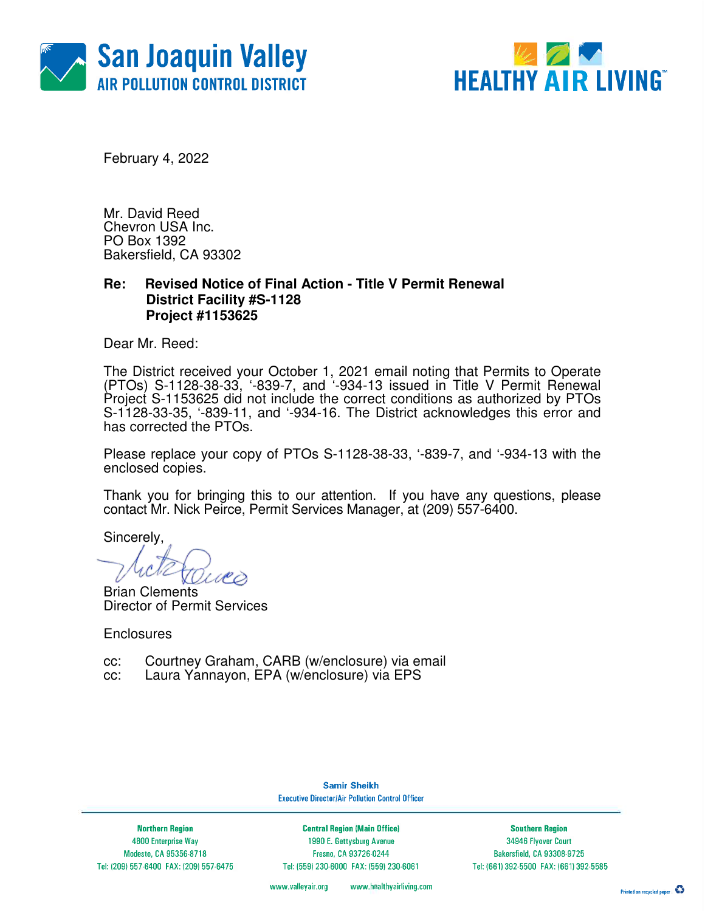



February 4, 2022

Mr. David Reed Chevron USA Inc. PO Box 1392 Bakersfield, CA 93302

### **Re: Revised Notice of Final Action - Title V Permit Renewal District Facility #S-1128 Project #1153625**

Dear Mr. Reed:

The District received your October 1, 2021 email noting that Permits to Operate (PTOs) S-1128-38-33, '-839-7, and '-934-13 issued in Title V Permit Renewal Project S-1153625 did not include the correct conditions as authorized by PTOs S-1128-33-35, '-839-11, and '-934-16. The District acknowledges this error and has corrected the PTOs.

Please replace your copy of PTOs S-1128-38-33, '-839-7, and '-934-13 with the enclosed copies.

Thank you for bringing this to our attention. If you have any questions, please contact Mr. Nick Peirce, Permit Services Manager, at (209) 557-6400.

Sincerely,

Brian Clements Director of Permit Services

**Enclosures** 

- cc: Courtney Graham, CARB (w/enclosure) via email
- cc: Laura Yannayon, EPA (w/enclosure) via EPS

**Samir Sheikh Executive Director/Air Pollution Control Officer** 

**Northern Region** 4800 Enterprise Way Modesto, CA 95356-8718 Tel: (209) 557-6400 FAX: (209) 557-6475

**Central Region (Main Office)** 1990 E. Gettysburg Avenue Fresno, CA 93726-0244 Tel: (559) 230-6000 FAX: (559) 230-6061

**Southern Region** 34946 Flyover Court Bakersfield, CA 93308-9725 Tel: (661) 392-5500 FAX: (661) 392-5585

www.valleyair.org www.healthyairliving.com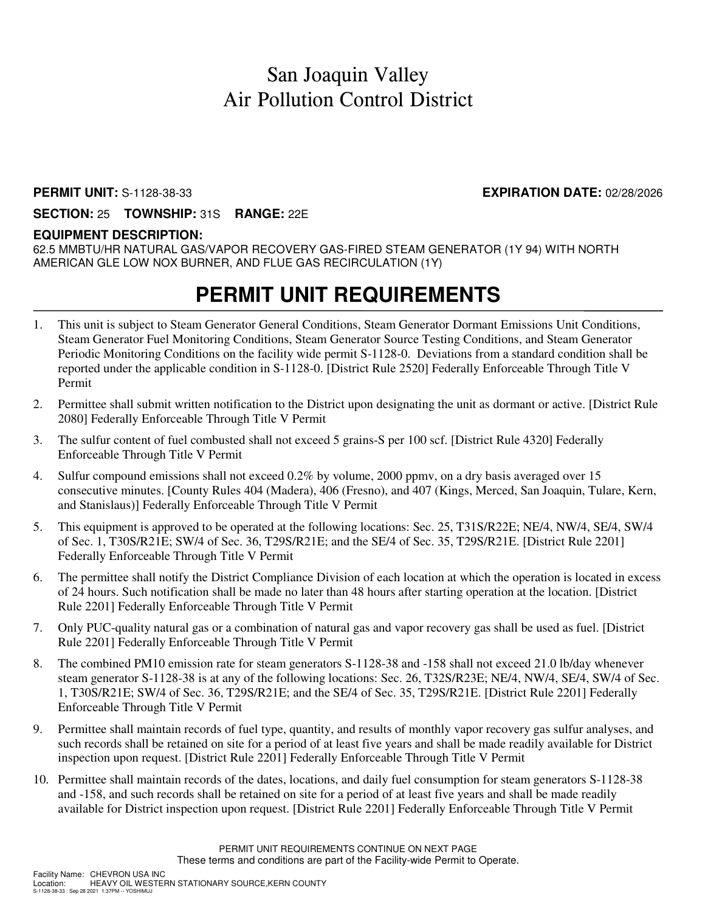### San Joaquin Valley Air Pollution Control District

#### **PERMIT UNIT:** S-1128-38-33 **EXPIRATION DATE:** 02/28/2026

#### **SECTION:** 25 **TOWNSHIP:** 31S **RANGE:** 22E

#### **EQUIPMENT DESCRIPTION:**

62.5 MMBTU/HR NATURAL GAS/VAPOR RECOVERY GAS-FIRED STEAM GENERATOR (1Y 94) WITH NORTH AMERICAN GLE LOW NOX BURNER, AND FLUE GAS RECIRCULATION (1Y)

### **PERMIT UNIT REQUIREMENTS**

- 1. This unit is subject to Steam Generator General Conditions, Steam Generator Dormant Emissions Unit Conditions, Steam Generator Fuel Monitoring Conditions, Steam Generator Source Testing Conditions, and Steam Generator Periodic Monitoring Conditions on the facility wide permit S-1128-0. Deviations from a standard condition shall be reported under the applicable condition in S-1128-0. [District Rule 2520] Federally Enforceable Through Title V Permit
- 2. Permittee shall submit written notification to the District upon designating the unit as dormant or active. [District Rule 2080] Federally Enforceable Through Title V Permit
- 3. The sulfur content of fuel combusted shall not exceed 5 grains-S per 100 scf. [District Rule 4320] Federally Enforceable Through Title V Permit
- 4. Sulfur compound emissions shall not exceed 0.2% by volume, 2000 ppmv, on a dry basis averaged over 15 consecutive minutes. [County Rules 404 (Madera), 406 (Fresno), and 407 (Kings, Merced, San Joaquin, Tulare, Kern, and Stanislaus)] Federally Enforceable Through Title V Permit
- 5. This equipment is approved to be operated at the following locations: Sec. 25, T31S/R22E; NE/4, NW/4, SE/4, SW/4 of Sec. 1, T30S/R21E; SW/4 of Sec. 36, T29S/R21E; and the SE/4 of Sec. 35, T29S/R21E. [District Rule 2201] Federally Enforceable Through Title V Permit
- 6. The permittee shall notify the District Compliance Division of each location at which the operation is located in excess of 24 hours. Such notification shall be made no later than 48 hours after starting operation at the location. [District Rule 2201] Federally Enforceable Through Title V Permit
- 7. Only PUC-quality natural gas or a combination of natural gas and vapor recovery gas shall be used as fuel. [District Rule 2201] Federally Enforceable Through Title V Permit
- 8. The combined PM10 emission rate for steam generators S-1128-38 and -158 shall not exceed 21.0 lb/day whenever steam generator S-1128-38 is at any of the following locations: Sec. 26, T32S/R23E; NE/4, NW/4, SE/4, SW/4 of Sec. 1, T30S/R21E; SW/4 of Sec. 36, T29S/R21E; and the SE/4 of Sec. 35, T29S/R21E. [District Rule 2201] Federally Enforceable Through Title V Permit
- 9. Permittee shall maintain records of fuel type, quantity, and results of monthly vapor recovery gas sulfur analyses, and such records shall be retained on site for a period of at least five years and shall be made readily available for District inspection upon request. [District Rule 2201] Federally Enforceable Through Title V Permit
- 10. Permittee shall maintain records of the dates, locations, and daily fuel consumption for steam generators S-1128-38 and -158, and such records shall be retained on site for a period of at least five years and shall be made readily available for District inspection upon request. [District Rule 2201] Federally Enforceable Through Title V Permit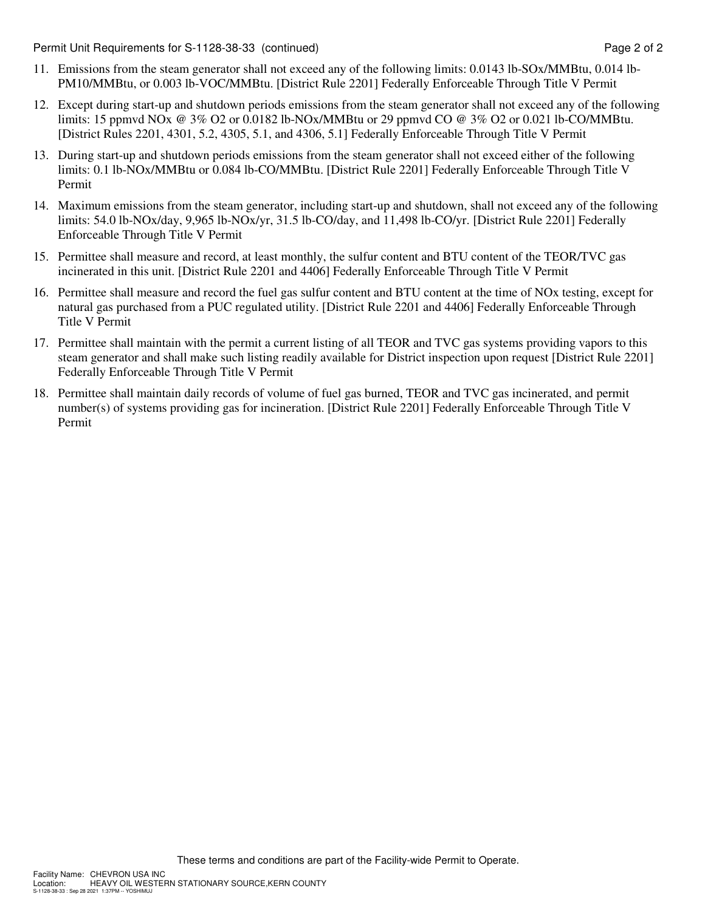Permit Unit Requirements for S-1128-38-33 (continued) **Page 2** of 2

- 11. Emissions from the steam generator shall not exceed any of the following limits: 0.0143 lb-SOx/MMBtu, 0.014 lb-PM10/MMBtu, or 0.003 lb-VOC/MMBtu. [District Rule 2201] Federally Enforceable Through Title V Permit
- 12. Except during start-up and shutdown periods emissions from the steam generator shall not exceed any of the following limits: 15 ppmvd NOx @ 3% O2 or 0.0182 lb-NOx/MMBtu or 29 ppmvd CO @ 3% O2 or 0.021 lb-CO/MMBtu. [District Rules 2201, 4301, 5.2, 4305, 5.1, and 4306, 5.1] Federally Enforceable Through Title V Permit
- 13. During start-up and shutdown periods emissions from the steam generator shall not exceed either of the following limits: 0.1 lb-NOx/MMBtu or 0.084 lb-CO/MMBtu. [District Rule 2201] Federally Enforceable Through Title V Permit
- 14. Maximum emissions from the steam generator, including start-up and shutdown, shall not exceed any of the following limits: 54.0 lb-NOx/day, 9,965 lb-NOx/yr, 31.5 lb-CO/day, and 11,498 lb-CO/yr. [District Rule 2201] Federally Enforceable Through Title V Permit
- 15. Permittee shall measure and record, at least monthly, the sulfur content and BTU content of the TEOR/TVC gas incinerated in this unit. [District Rule 2201 and 4406] Federally Enforceable Through Title V Permit
- 16. Permittee shall measure and record the fuel gas sulfur content and BTU content at the time of NOx testing, except for natural gas purchased from a PUC regulated utility. [District Rule 2201 and 4406] Federally Enforceable Through Title V Permit
- 17. Permittee shall maintain with the permit a current listing of all TEOR and TVC gas systems providing vapors to this steam generator and shall make such listing readily available for District inspection upon request [District Rule 2201] Federally Enforceable Through Title V Permit
- 18. Permittee shall maintain daily records of volume of fuel gas burned, TEOR and TVC gas incinerated, and permit number(s) of systems providing gas for incineration. [District Rule 2201] Federally Enforceable Through Title V Permit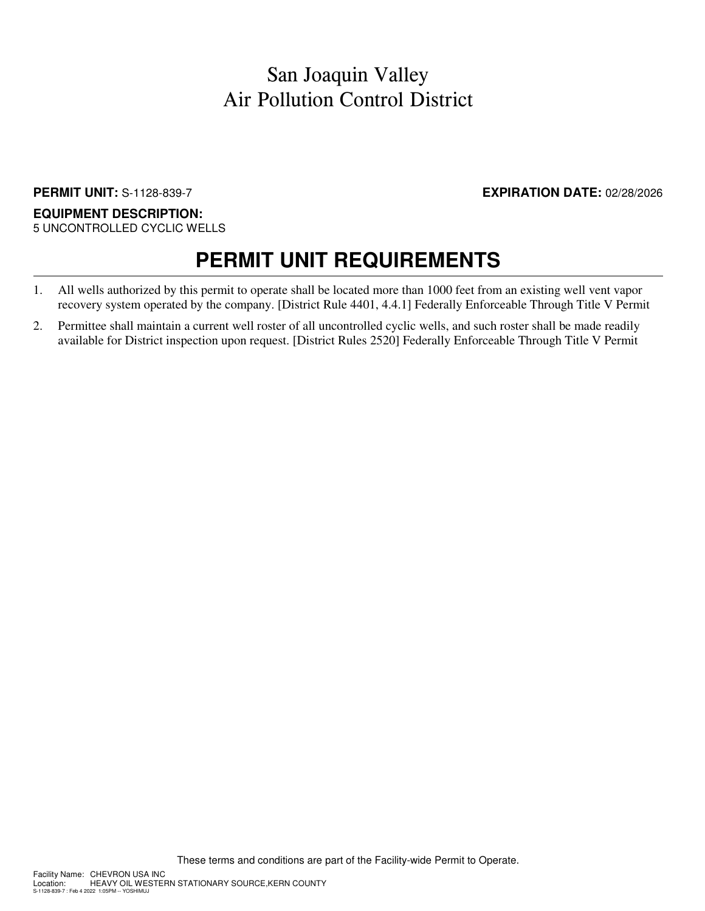### San Joaquin Valley Air Pollution Control District

#### **PERMIT UNIT:** S-1128-839-7 **EXPIRATION DATE:** 02/28/2026

#### **EQUIPMENT DESCRIPTION:** 5 UNCONTROLLED CYCLIC WELLS

# **PERMIT UNIT REQUIREMENTS**

- 1. All wells authorized by this permit to operate shall be located more than 1000 feet from an existing well vent vapor recovery system operated by the company. [District Rule 4401, 4.4.1] Federally Enforceable Through Title V Permit
- 2. Permittee shall maintain a current well roster of all uncontrolled cyclic wells, and such roster shall be made readily available for District inspection upon request. [District Rules 2520] Federally Enforceable Through Title V Permit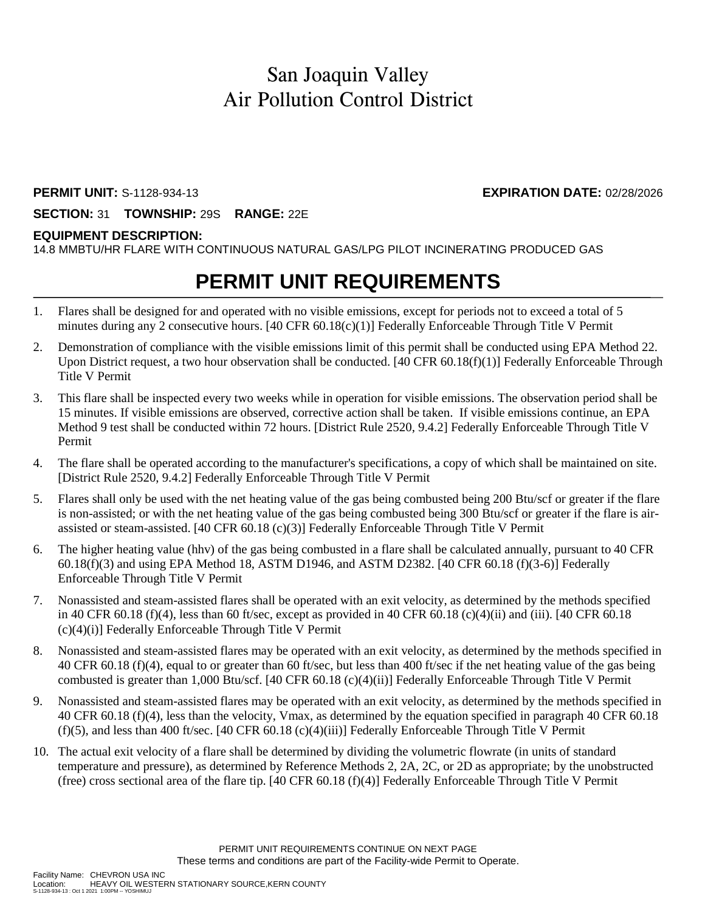### San Joaquin Valley Air Pollution Control District

#### **PERMIT UNIT:** S-1128-934-13 **EXPIRATION DATE:** 02/28/2026

**SECTION:** 31 **TOWNSHIP:** 29S **RANGE:** 22E

### **EQUIPMENT DESCRIPTION:**

14.8 MMBTU/HR FLARE WITH CONTINUOUS NATURAL GAS/LPG PILOT INCINERATING PRODUCED GAS

## **PERMIT UNIT REQUIREMENTS**

- 1. Flares shall be designed for and operated with no visible emissions, except for periods not to exceed a total of 5 minutes during any 2 consecutive hours. [40 CFR 60.18(c)(1)] Federally Enforceable Through Title V Permit
- 2. Demonstration of compliance with the visible emissions limit of this permit shall be conducted using EPA Method 22. Upon District request, a two hour observation shall be conducted.  $[40 \text{ CFR } 60.18(f)(1)]$  Federally Enforceable Through Title V Permit
- 3. This flare shall be inspected every two weeks while in operation for visible emissions. The observation period shall be 15 minutes. If visible emissions are observed, corrective action shall be taken. If visible emissions continue, an EPA Method 9 test shall be conducted within 72 hours. [District Rule 2520, 9.4.2] Federally Enforceable Through Title V Permit
- 4. The flare shall be operated according to the manufacturer's specifications, a copy of which shall be maintained on site. [District Rule 2520, 9.4.2] Federally Enforceable Through Title V Permit
- 5. Flares shall only be used with the net heating value of the gas being combusted being 200 Btu/scf or greater if the flare is non-assisted; or with the net heating value of the gas being combusted being 300 Btu/scf or greater if the flare is airassisted or steam-assisted. [40 CFR 60.18 (c)(3)] Federally Enforceable Through Title V Permit
- 6. The higher heating value (hhv) of the gas being combusted in a flare shall be calculated annually, pursuant to 40 CFR 60.18(f)(3) and using EPA Method 18, ASTM D1946, and ASTM D2382. [40 CFR 60.18 (f)(3-6)] Federally Enforceable Through Title V Permit
- 7. Nonassisted and steam-assisted flares shall be operated with an exit velocity, as determined by the methods specified in 40 CFR 60.18 (f)(4), less than 60 ft/sec, except as provided in 40 CFR 60.18 (c)(4)(ii) and (iii). [40 CFR 60.18  $(c)(4)(i)$ ] Federally Enforceable Through Title V Permit
- 8. Nonassisted and steam-assisted flares may be operated with an exit velocity, as determined by the methods specified in 40 CFR 60.18 (f)(4), equal to or greater than 60 ft/sec, but less than 400 ft/sec if the net heating value of the gas being combusted is greater than 1,000 Btu/scf. [40 CFR 60.18 (c)(4)(ii)] Federally Enforceable Through Title V Permit
- 9. Nonassisted and steam-assisted flares may be operated with an exit velocity, as determined by the methods specified in 40 CFR 60.18 (f)(4), less than the velocity, Vmax, as determined by the equation specified in paragraph 40 CFR 60.18 (f)(5), and less than 400 ft/sec. [40 CFR 60.18 (c)(4)(iii)] Federally Enforceable Through Title V Permit
- 10. The actual exit velocity of a flare shall be determined by dividing the volumetric flowrate (in units of standard temperature and pressure), as determined by Reference Methods 2, 2A, 2C, or 2D as appropriate; by the unobstructed (free) cross sectional area of the flare tip. [40 CFR 60.18 (f)(4)] Federally Enforceable Through Title V Permit

HEAVY OIL WESTERN STATIONARY SOURCE, KERN COUNTY

S-1128-934-13 : Oct 1 2021 1:00PM -- YOSHIMUJ